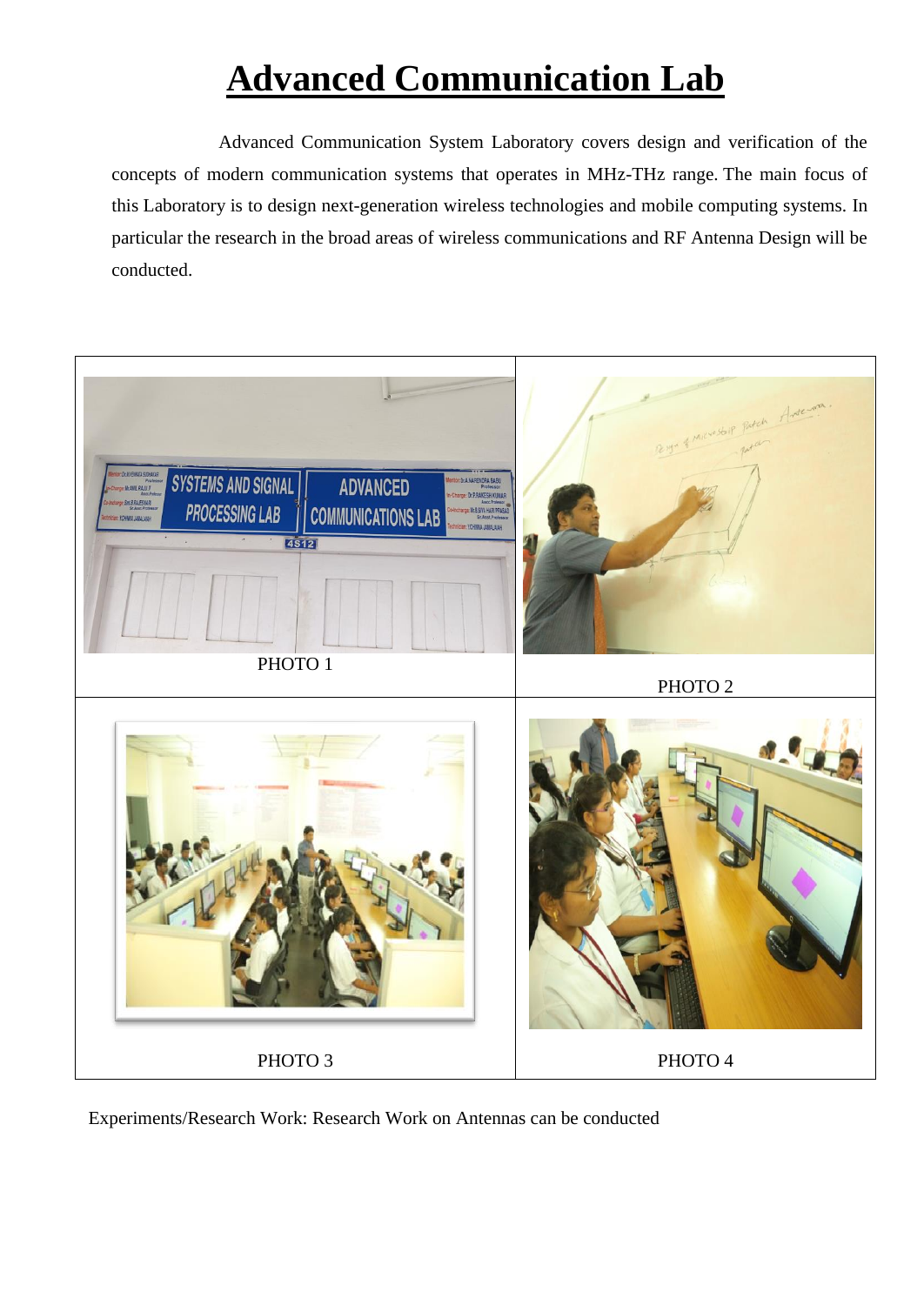# **Advanced Communication Lab**

 Advanced Communication System Laboratory covers design and verification of the concepts of modern communication systems that operates in MHz-THz range. The main focus of this Laboratory is to design next-generation wireless technologies and mobile computing systems. In particular the research in the broad areas of wireless communications and RF Antenna Design will be conducted.



Experiments/Research Work: Research Work on Antennas can be conducted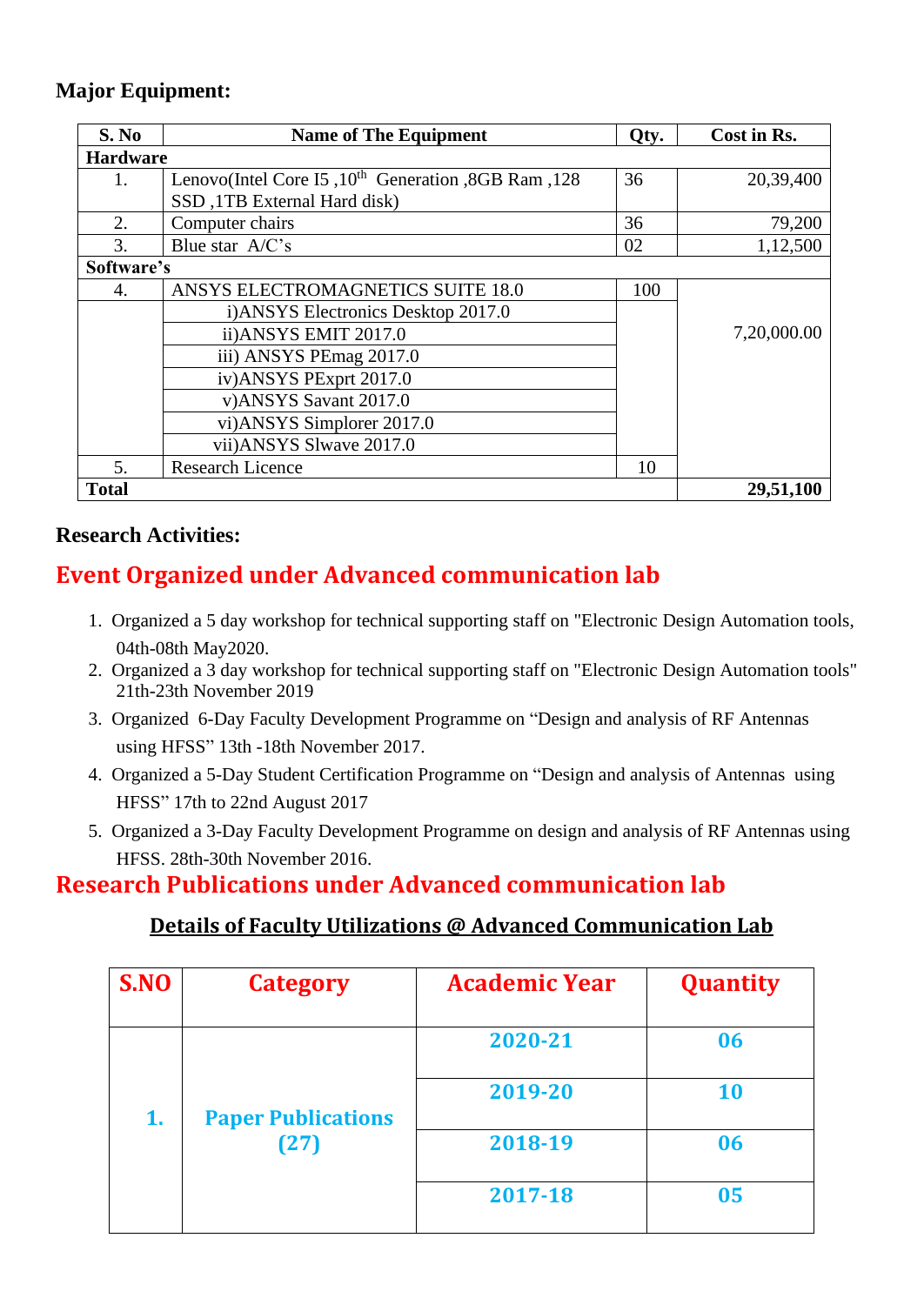#### **Major Equipment:**

| S. No           | <b>Name of The Equipment</b>                             | Qty. | Cost in Rs. |
|-----------------|----------------------------------------------------------|------|-------------|
| <b>Hardware</b> |                                                          |      |             |
| 1.              | Lenovo(Intel Core I5, $10^{th}$ Generation, 8GB Ram, 128 | 36   | 20,39,400   |
|                 | SSD, 1TB External Hard disk)                             |      |             |
| 2.              | Computer chairs                                          | 36   | 79,200      |
| 3.              | Blue star $A/C$ 's                                       | 02   | 1,12,500    |
| Software's      |                                                          |      |             |
| 4.              | ANSYS ELECTROMAGNETICS SUITE 18.0                        | 100  |             |
|                 | i) ANSYS Electronics Desktop 2017.0                      |      |             |
|                 | ii) ANSYS EMIT 2017.0                                    |      | 7,20,000.00 |
|                 | iii) ANSYS PEmag 2017.0                                  |      |             |
|                 | iv) ANSYS PExprt 2017.0                                  |      |             |
|                 | v)ANSYS Savant 2017.0                                    |      |             |
|                 | vi)ANSYS Simplorer 2017.0                                |      |             |
|                 | vii) ANSYS Slwave 2017.0                                 |      |             |
| 5.              | <b>Research Licence</b>                                  | 10   |             |
| <b>Total</b>    |                                                          |      | 29,51,100   |

#### **Research Activities:**

### **Event Organized under Advanced communication lab**

- 1. Organized a 5 day workshop for technical supporting staff on "Electronic Design Automation tools, 04th-08th May2020.
- 2. Organized a 3 day workshop for technical supporting staff on "Electronic Design Automation tools" 21th-23th November 2019
- 3. Organized 6-Day Faculty Development Programme on "Design and analysis of RF Antennas using HFSS" 13th -18th November 2017.
- 4. Organized a 5-Day Student Certification Programme on "Design and analysis of Antennas using HFSS" 17th to 22nd August 2017
- 5. Organized a 3-Day Faculty Development Programme on design and analysis of RF Antennas using HFSS. 28th-30th November 2016.

## **Research Publications under Advanced communication lab**

#### **Details of Faculty Utilizations @ Advanced Communication Lab**

| S.NO | <b>Category</b>           | <b>Academic Year</b> | <b>Quantity</b> |
|------|---------------------------|----------------------|-----------------|
|      |                           | 2020-21              | 06              |
| 1.   | <b>Paper Publications</b> | 2019-20              | <b>10</b>       |
|      | (27)                      | 2018-19              | 06              |
|      |                           | 2017-18              | 05              |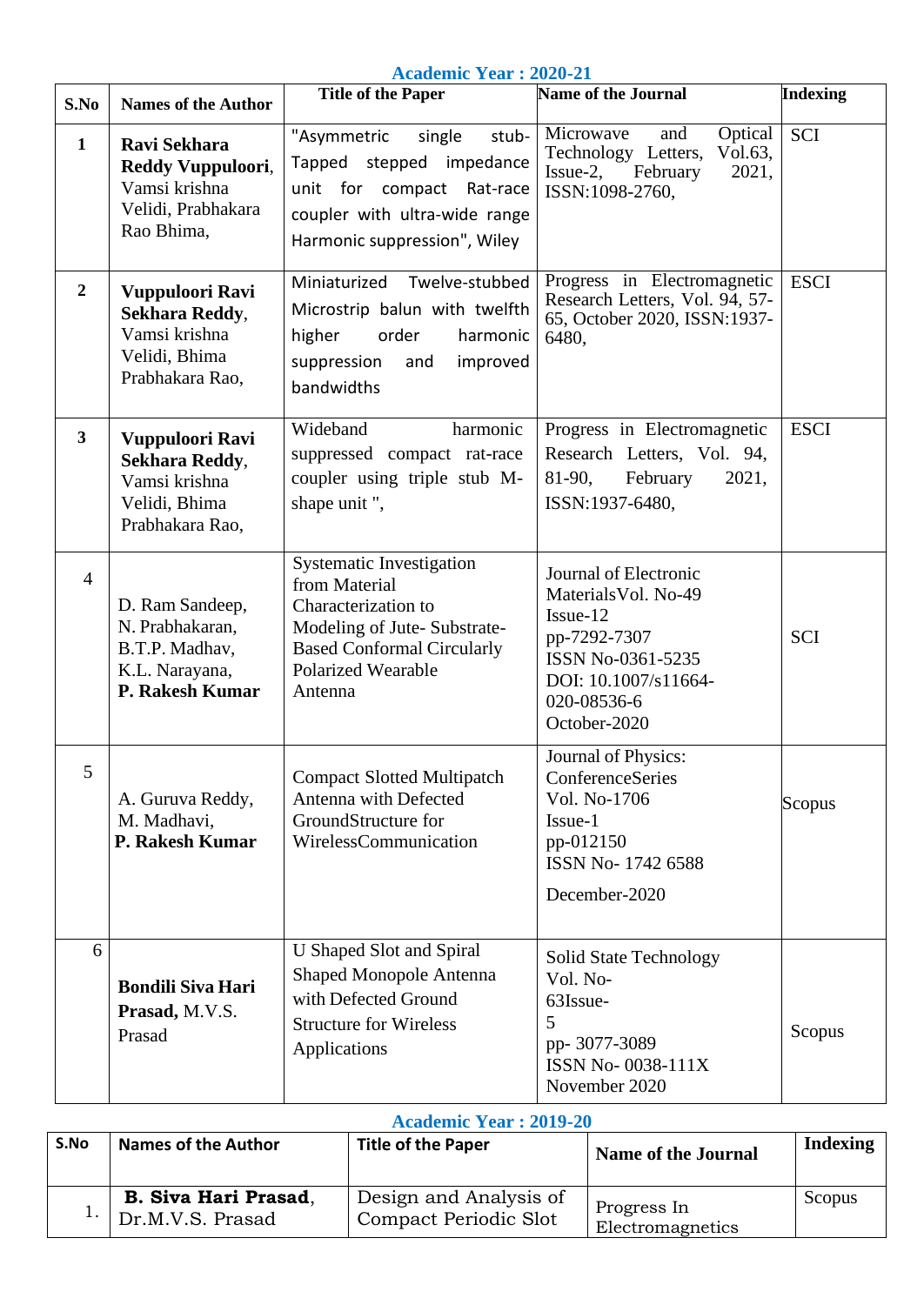**Academic Year : 2020-21**

| S.No                    | <b>Names of the Author</b>                                                                    | <b>Title of the Paper</b>                                                                                                                                                           | Name of the Journal                                                                                                                                   | <b>Indexing</b> |
|-------------------------|-----------------------------------------------------------------------------------------------|-------------------------------------------------------------------------------------------------------------------------------------------------------------------------------------|-------------------------------------------------------------------------------------------------------------------------------------------------------|-----------------|
| $\mathbf{1}$            | <b>Ravi Sekhara</b><br>Reddy Vuppuloori,<br>Vamsi krishna<br>Velidi, Prabhakara<br>Rao Bhima, | "Asymmetric<br>single<br>stub-<br>Tapped stepped impedance<br>unit for compact Rat-race<br>coupler with ultra-wide range<br>Harmonic suppression", Wiley                            | Microwave<br>Optical<br>and<br>Technology Letters,<br>Vol.63,<br>$Issue-2$ ,<br>2021,<br>February<br>ISSN:1098-2760,                                  | <b>SCI</b>      |
| $\boldsymbol{2}$        | Vuppuloori Ravi<br>Sekhara Reddy,<br>Vamsi krishna<br>Velidi, Bhima<br>Prabhakara Rao,        | Miniaturized<br>Twelve-stubbed<br>Microstrip balun with twelfth<br>higher<br>order<br>harmonic<br>suppression<br>improved<br>and<br>bandwidths                                      | Progress in Electromagnetic<br>Research Letters, Vol. 94, 57-<br>65, October 2020, ISSN:1937-<br>6480,                                                | <b>ESCI</b>     |
| $\overline{\mathbf{3}}$ | Vuppuloori Ravi<br><b>Sekhara Reddy,</b><br>Vamsi krishna<br>Velidi, Bhima<br>Prabhakara Rao, | Wideband<br>harmonic<br>suppressed compact rat-race<br>coupler using triple stub M-<br>shape unit",                                                                                 | Progress in Electromagnetic<br>Research Letters, Vol. 94,<br>81-90,<br>2021,<br>February<br>ISSN:1937-6480,                                           | <b>ESCI</b>     |
| $\overline{4}$          | D. Ram Sandeep,<br>N. Prabhakaran,<br>B.T.P. Madhav,<br>K.L. Narayana,<br>P. Rakesh Kumar     | <b>Systematic Investigation</b><br>from Material<br>Characterization to<br>Modeling of Jute-Substrate-<br><b>Based Conformal Circularly</b><br><b>Polarized Wearable</b><br>Antenna | Journal of Electronic<br>Materials Vol. No-49<br>Issue-12<br>pp-7292-7307<br>ISSN No-0361-5235<br>DOI: 10.1007/s11664-<br>020-08536-6<br>October-2020 | <b>SCI</b>      |
| 5                       | A. Guruva Reddy,<br>M. Madhavi,<br>P. Rakesh Kumar                                            | <b>Compact Slotted Multipatch</b><br>Antenna with Defected<br>GroundStructure for<br>WirelessCommunication                                                                          | Journal of Physics:<br>ConferenceSeries<br>Vol. No-1706<br>Issue-1<br>pp-012150<br>ISSN No-1742 6588<br>December-2020                                 | Scopus          |
| 6                       | <b>Bondili Siva Hari</b><br>Prasad, M.V.S.<br>Prasad                                          | U Shaped Slot and Spiral<br>Shaped Monopole Antenna<br>with Defected Ground<br><b>Structure for Wireless</b><br>Applications                                                        | <b>Solid State Technology</b><br>Vol. No-<br>63Issue-<br>5<br>pp- 3077-3089<br>ISSN No-0038-111X<br>November 2020                                     | Scopus          |

#### **Academic Year : 2019-20**

| S.No | <b>Names of the Author</b>                                | <b>Title of the Paper</b>                       | <b>Name of the Journal</b>      | Indexing |
|------|-----------------------------------------------------------|-------------------------------------------------|---------------------------------|----------|
|      | <b>B. Siva Hari Prasad,</b><br>$\cdot$   Dr.M.V.S. Prasad | Design and Analysis of<br>Compact Periodic Slot | Progress In<br>Electromagnetics | Scopus   |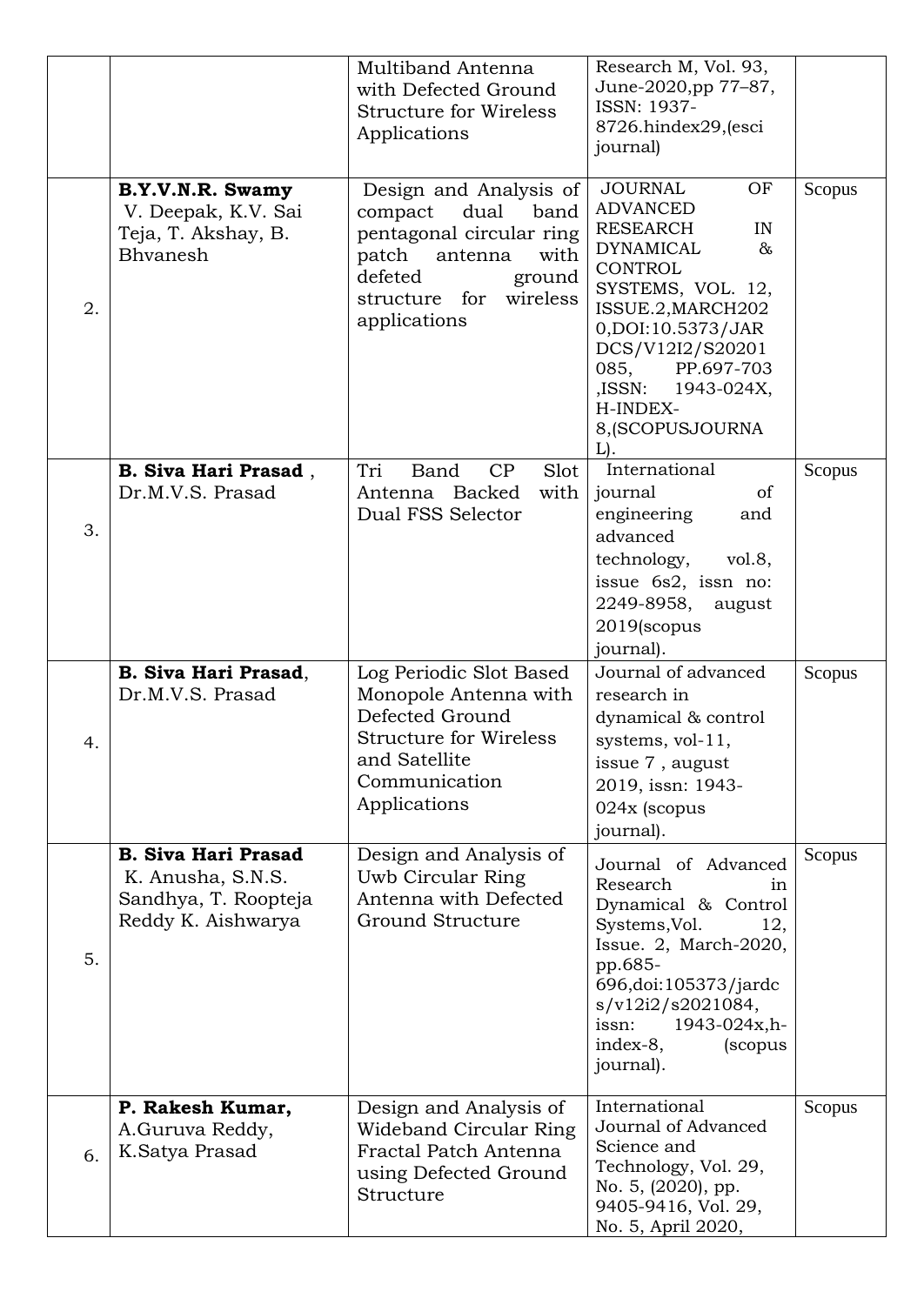|    |                                                                                               | Multiband Antenna<br>with Defected Ground<br><b>Structure for Wireless</b><br>Applications                                                                                  | Research M, Vol. 93,<br>June-2020,pp 77-87,<br><b>ISSN: 1937-</b><br>8726.hindex29,(esci<br>journal)                                                                                                                                                                   |        |
|----|-----------------------------------------------------------------------------------------------|-----------------------------------------------------------------------------------------------------------------------------------------------------------------------------|------------------------------------------------------------------------------------------------------------------------------------------------------------------------------------------------------------------------------------------------------------------------|--------|
| 2. | B.Y.V.N.R. Swamy<br>V. Deepak, K.V. Sai<br>Teja, T. Akshay, B.<br>Bhvanesh                    | Design and Analysis of<br>dual<br>band<br>compact<br>pentagonal circular ring<br>patch<br>antenna<br>with<br>defeted<br>ground<br>wireless<br>structure for<br>applications | <b>JOURNAL</b><br>OF<br><b>ADVANCED</b><br>RESEARCH<br>IN<br><b>DYNAMICAL</b><br>$\&$<br>CONTROL<br>SYSTEMS, VOL. 12,<br>ISSUE.2, MARCH202<br>0, DOI: 10.5373/JAR<br>DCS/V12I2/S20201<br>085, PP.697-703<br>,ISSN: 1943-024X,<br>H-INDEX-<br>8, (SCOPUSJOURNA<br>$L$ . | Scopus |
| 3. | <b>B. Siva Hari Prasad</b> ,<br>Dr.M.V.S. Prasad                                              | Slot<br>Tri<br>Band<br>CP<br>Antenna Backed<br>with<br>Dual FSS Selector                                                                                                    | International<br>journal<br>of<br>engineering<br>and<br>advanced<br>technology,<br>vol.8,<br>issue 6s2, issn no:<br>2249-8958, august<br>2019(scopus<br>journal).                                                                                                      | Scopus |
| 4. | <b>B. Siva Hari Prasad,</b><br>Dr.M.V.S. Prasad                                               | Log Periodic Slot Based<br>Monopole Antenna with<br>Defected Ground<br><b>Structure for Wireless</b><br>and Satellite<br>Communication<br>Applications                      | Journal of advanced<br>research in<br>dynamical & control<br>systems, vol-11,<br>issue 7, august<br>2019, issn: 1943-<br>024x (scopus<br>journal).                                                                                                                     | Scopus |
| 5. | <b>B. Siva Hari Prasad</b><br>K. Anusha, S.N.S.<br>Sandhya, T. Roopteja<br>Reddy K. Aishwarya | Design and Analysis of<br>Uwb Circular Ring<br>Antenna with Defected<br>Ground Structure                                                                                    | Journal of Advanced<br>Research<br>1n<br>Dynamical & Control<br>Systems, Vol.<br>12,<br>Issue. 2, March-2020,<br>pp.685-<br>696, doi: 105373/jardc<br>s/v12i2/s2021084,<br>issn:<br>1943-024x,h-<br>index-8,<br>(scopus<br>journal).                                   | Scopus |
| 6. | P. Rakesh Kumar,<br>A.Guruva Reddy,<br>K.Satya Prasad                                         | Design and Analysis of<br>Wideband Circular Ring<br>Fractal Patch Antenna<br>using Defected Ground<br>Structure                                                             | International<br>Journal of Advanced<br>Science and<br>Technology, Vol. 29,<br>No. 5, (2020), pp.<br>9405-9416, Vol. 29,<br>No. 5, April 2020,                                                                                                                         | Scopus |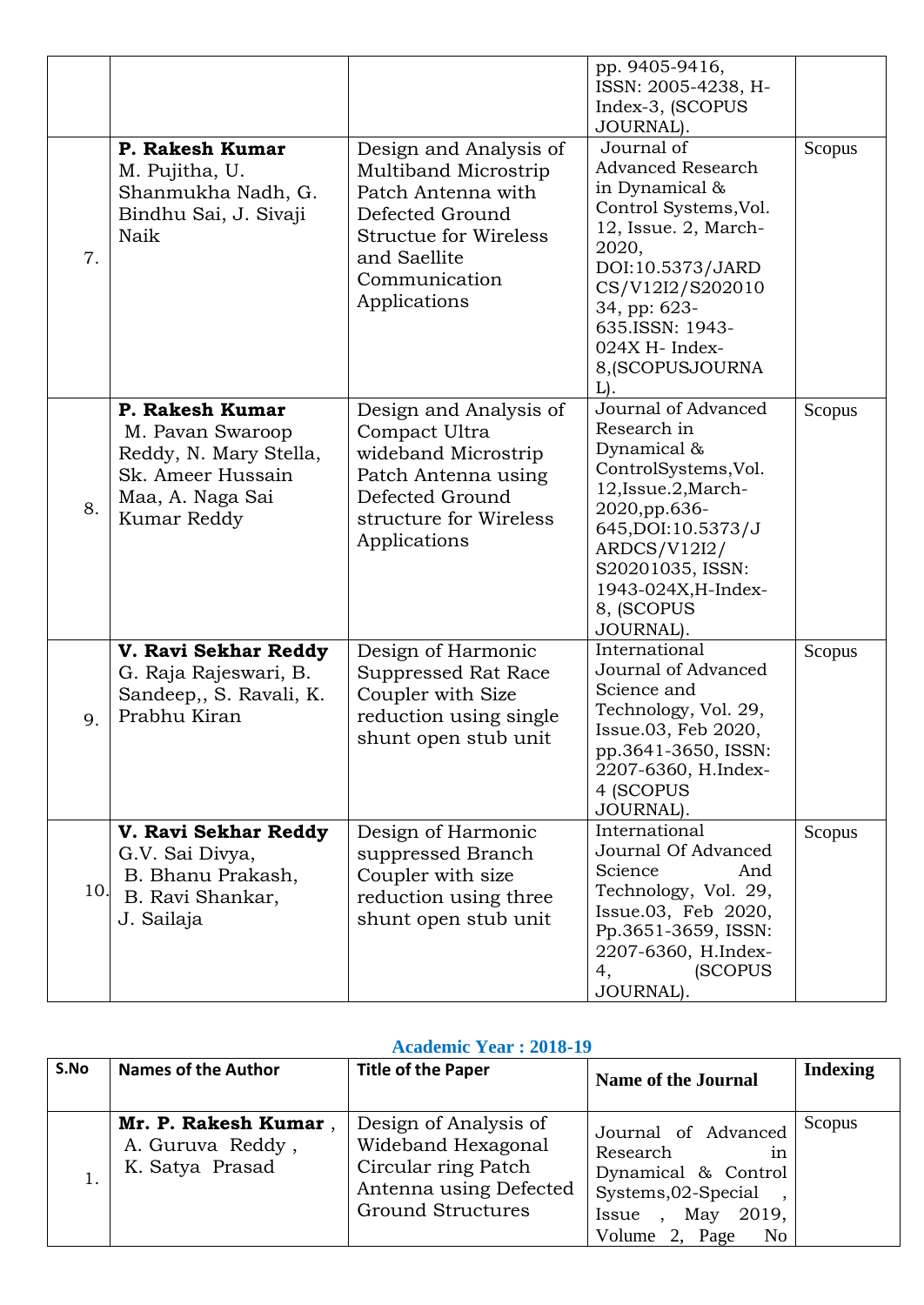| 7.  | P. Rakesh Kumar<br>M. Pujitha, U.<br>Shanmukha Nadh, G.<br>Bindhu Sai, J. Sivaji<br>Naik                              | Design and Analysis of<br>Multiband Microstrip<br>Patch Antenna with<br>Defected Ground<br><b>Structue for Wireless</b><br>and Saellite<br>Communication<br>Applications | pp. 9405-9416,<br>ISSN: 2005-4238, H-<br>Index-3, (SCOPUS<br>JOURNAL).<br>Journal of<br><b>Advanced Research</b><br>in Dynamical &<br>Control Systems, Vol.<br>12, Issue. 2, March-<br>2020,<br>DOI:10.5373/JARD<br>CS/V12I2/S202010<br>34, pp: 623-<br>635.ISSN: 1943-<br>024X H- Index-<br>8, (SCOPUSJOURNA<br>L). | Scopus |
|-----|-----------------------------------------------------------------------------------------------------------------------|--------------------------------------------------------------------------------------------------------------------------------------------------------------------------|----------------------------------------------------------------------------------------------------------------------------------------------------------------------------------------------------------------------------------------------------------------------------------------------------------------------|--------|
| 8.  | P. Rakesh Kumar<br>M. Pavan Swaroop<br>Reddy, N. Mary Stella,<br>Sk. Ameer Hussain<br>Maa, A. Naga Sai<br>Kumar Reddy | Design and Analysis of<br>Compact Ultra<br>wideband Microstrip<br>Patch Antenna using<br>Defected Ground<br>structure for Wireless<br>Applications                       | Journal of Advanced<br>Research in<br>Dynamical &<br>ControlSystems, Vol.<br>12, Issue. 2, March-<br>2020, pp.636-<br>645, DOI: 10.5373/J<br>ARDCS/V12I2/<br>S20201035, ISSN:<br>1943-024X, H-Index-<br>8, (SCOPUS<br>JOURNAL).                                                                                      | Scopus |
| 9.  | V. Ravi Sekhar Reddy<br>G. Raja Rajeswari, B.<br>Sandeep,, S. Ravali, K.<br>Prabhu Kiran                              | Design of Harmonic<br>Suppressed Rat Race<br>Coupler with Size<br>reduction using single<br>shunt open stub unit                                                         | International<br>Journal of Advanced<br>Science and<br>Technology, Vol. 29,<br>Issue.03, Feb 2020,<br>pp.3641-3650, ISSN:<br>2207-6360, H.Index-<br>4 (SCOPUS<br>JOURNAL).                                                                                                                                           | Scopus |
| 10. | V. Ravi Sekhar Reddy<br>G.V. Sai Divya,<br>B. Bhanu Prakash,<br>B. Ravi Shankar,<br>J. Sailaja                        | Design of Harmonic<br>suppressed Branch<br>Coupler with size<br>reduction using three<br>shunt open stub unit                                                            | International<br>Journal Of Advanced<br>Science<br>And<br>Technology, Vol. 29,<br>Issue.03, Feb 2020,<br>Pp.3651-3659, ISSN:<br>2207-6360, H.Index-<br>(SCOPUS)<br>4,<br>JOURNAL).                                                                                                                                   | Scopus |

#### **Academic Year : 2018-19**

| S.No | <b>Names of the Author</b>                                  | <b>Title of the Paper</b>                                                                                                | <b>Name of the Journal</b>                                                                                                                        | <b>Indexing</b> |
|------|-------------------------------------------------------------|--------------------------------------------------------------------------------------------------------------------------|---------------------------------------------------------------------------------------------------------------------------------------------------|-----------------|
|      | Mr. P. Rakesh Kumar,<br>A. Guruva Reddy,<br>K. Satya Prasad | Design of Analysis of<br>Wideband Hexagonal<br>Circular ring Patch<br>Antenna using Defected<br><b>Ground Structures</b> | Journal of Advanced<br>Research<br>1n<br>Dynamical & Control<br>Systems, 02-Special,<br>May<br>2019,<br>Issue<br>Volume 2, Page<br>N <sub>0</sub> | Scopus          |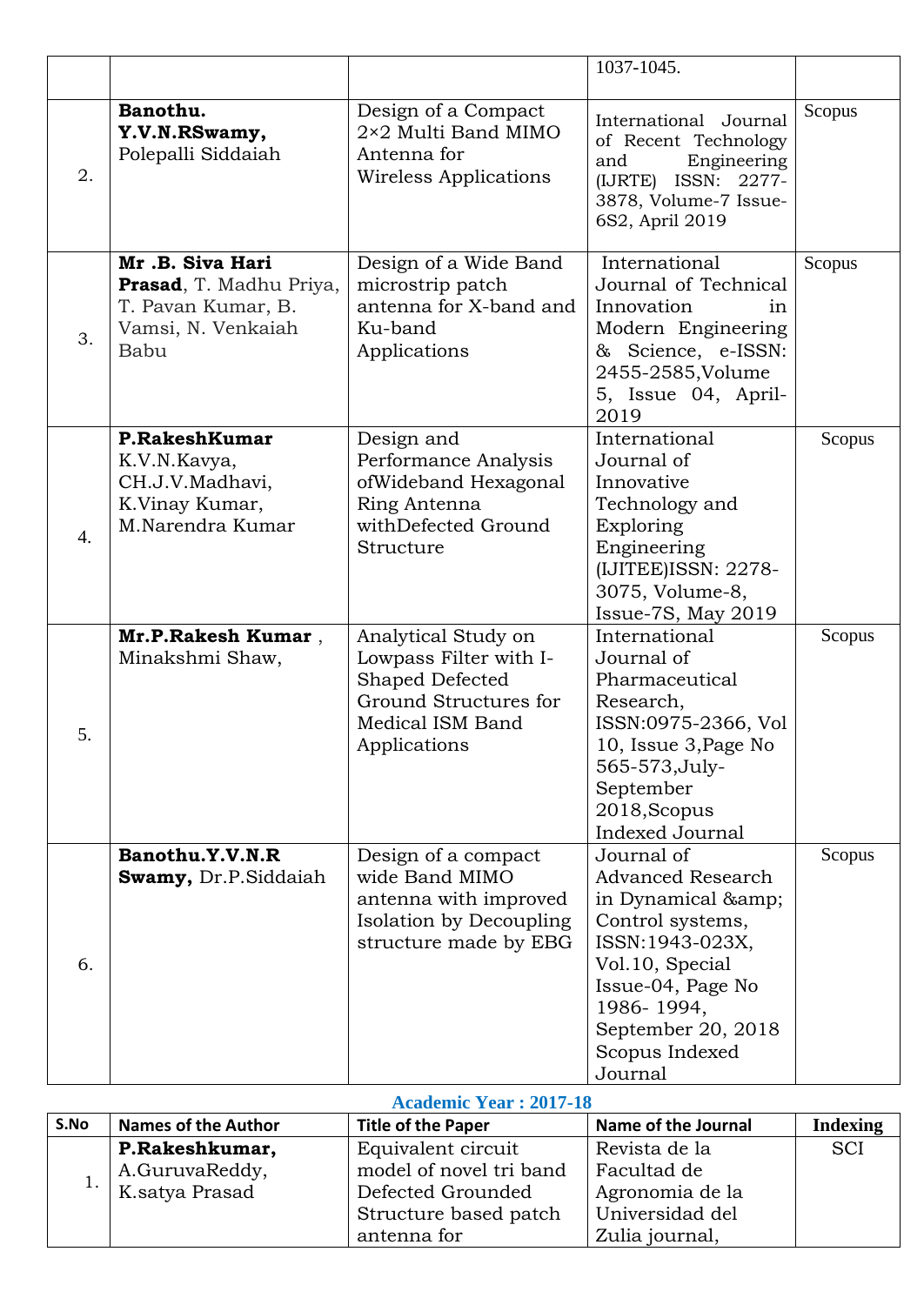|                  |                                                                                                |                                                                                                                               | 1037-1045.                                                                                                                                                                                               |        |
|------------------|------------------------------------------------------------------------------------------------|-------------------------------------------------------------------------------------------------------------------------------|----------------------------------------------------------------------------------------------------------------------------------------------------------------------------------------------------------|--------|
| 2.               | Banothu.<br>Y.V.N.RSwamy,<br>Polepalli Siddaiah                                                | Design of a Compact<br>2×2 Multi Band MIMO<br>Antenna for<br>Wireless Applications                                            | International Journal<br>of Recent Technology<br>Engineering<br>and<br>(IJRTE) ISSN: 2277-<br>3878, Volume-7 Issue-<br>6S2, April 2019                                                                   | Scopus |
| 3.               | Mr.B. Siva Hari<br>Prasad, T. Madhu Priya,<br>T. Pavan Kumar, B.<br>Vamsi, N. Venkaiah<br>Babu | Design of a Wide Band<br>microstrip patch<br>antenna for X-band and<br>Ku-band<br>Applications                                | International<br>Journal of Technical<br>Innovation<br>1n<br>Modern Engineering<br>& Science, e-ISSN:<br>2455-2585, Volume<br>5, Issue 04, April-<br>2019                                                | Scopus |
| $\overline{4}$ . | P.RakeshKumar<br>K.V.N.Kavya,<br>CH.J.V.Madhavi,<br>K.Vinay Kumar,<br>M.Narendra Kumar         | Design and<br>Performance Analysis<br>ofWideband Hexagonal<br>Ring Antenna<br>withDefected Ground<br>Structure                | International<br>Journal of<br>Innovative<br>Technology and<br>Exploring<br>Engineering<br>(IJITEE)ISSN: 2278-<br>3075, Volume-8,<br>Issue-7S, May 2019                                                  | Scopus |
| 5.               | Mr.P.Rakesh Kumar,<br>Minakshmi Shaw,                                                          | Analytical Study on<br>Lowpass Filter with I-<br>Shaped Defected<br>Ground Structures for<br>Medical ISM Band<br>Applications | International<br>Journal of<br>Pharmaceutical<br>Research,<br>ISSN:0975-2366, Vol<br>10, Issue 3, Page No<br>565-573, July-<br>September<br>2018, Scopus<br>Indexed Journal                              | Scopus |
| 6.               | Banothu.Y.V.N.R<br><b>Swamy, Dr.P.Siddaiah</b>                                                 | Design of a compact<br>wide Band MIMO<br>antenna with improved<br><b>Isolation by Decoupling</b><br>structure made by EBG     | Journal of<br><b>Advanced Research</b><br>in Dynamical &<br>Control systems,<br>ISSN:1943-023X,<br>Vol.10, Special<br>Issue-04, Page No<br>1986-1994,<br>September 20, 2018<br>Scopus Indexed<br>Journal | Scopus |

#### **Academic Year : 2017-18**

| S.No | <b>Names of the Author</b>    | <b>Title of the Paper</b> | Name of the Journal | <b>Indexing</b> |
|------|-------------------------------|---------------------------|---------------------|-----------------|
|      | P.Rakeshkumar,                | Equivalent circuit        | Revista de la       | <b>SCI</b>      |
|      | A.GuruvaReddy,                | model of novel tri band   | Facultad de         |                 |
|      | $^{-1}\cdot$   K.satya Prasad | Defected Grounded         | Agronomia de la     |                 |
|      |                               | Structure based patch     | Universidad del     |                 |
|      |                               | antenna for               | Zulia journal,      |                 |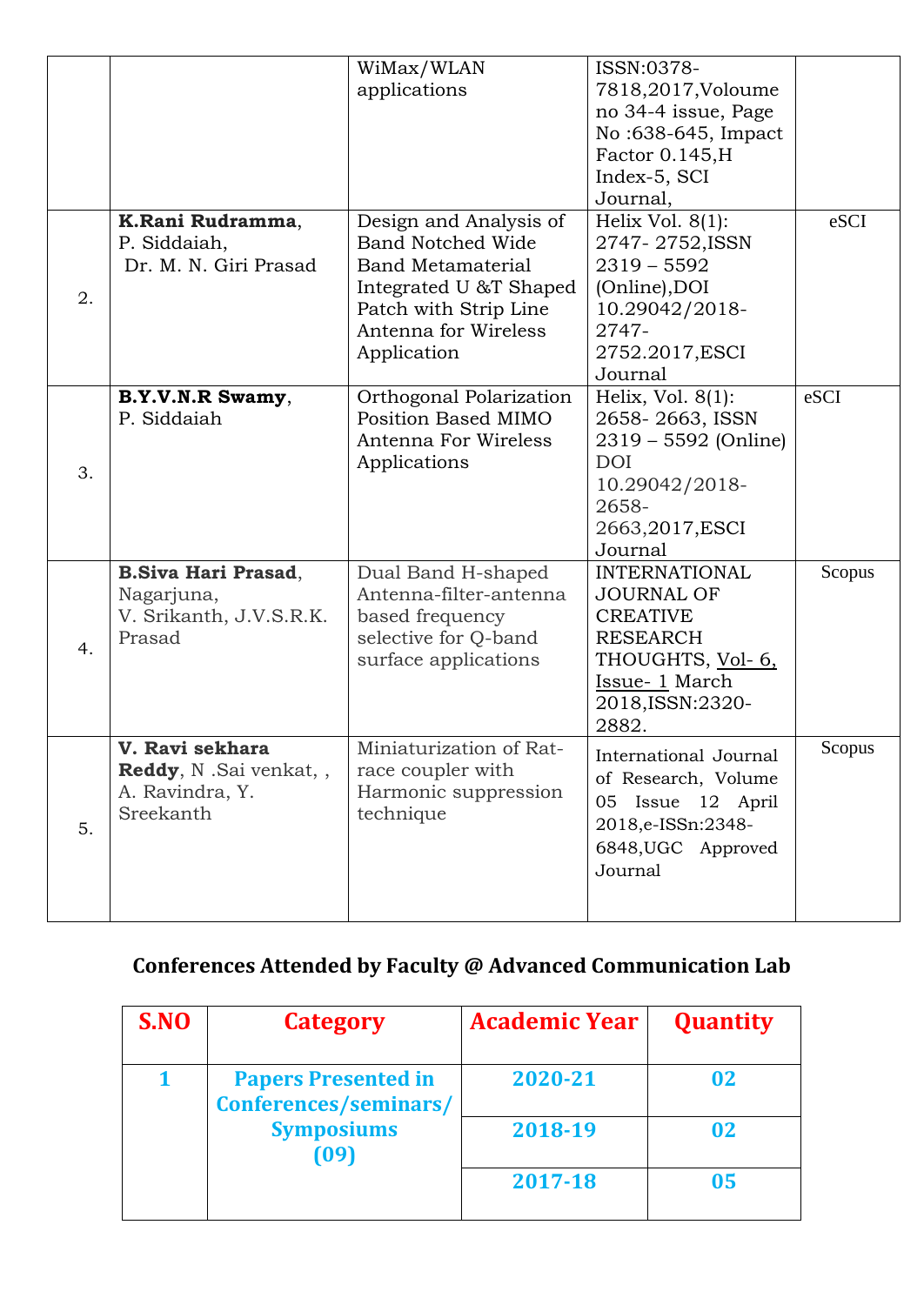|    |                                                                                  | WiMax/WLAN<br>applications                                                                                                                                               | ISSN:0378-<br>7818,2017, Voloume<br>no 34-4 issue, Page<br>No:638-645, Impact<br>Factor 0.145, H<br>Index-5, SCI<br>Journal,                         |        |
|----|----------------------------------------------------------------------------------|--------------------------------------------------------------------------------------------------------------------------------------------------------------------------|------------------------------------------------------------------------------------------------------------------------------------------------------|--------|
| 2. | K.Rani Rudramma,<br>P. Siddaiah,<br>Dr. M. N. Giri Prasad                        | Design and Analysis of<br><b>Band Notched Wide</b><br><b>Band Metamaterial</b><br>Integrated U &T Shaped<br>Patch with Strip Line<br>Antenna for Wireless<br>Application | Helix Vol. $8(1)$ :<br>2747-2752, ISSN<br>$2319 - 5592$<br>(Online), DOI<br>10.29042/2018-<br>2747-<br>2752.2017, ESCI<br>Journal                    | eSCI   |
| 3. | B.Y.V.N.R Swamy,<br>P. Siddaiah                                                  | Orthogonal Polarization<br><b>Position Based MIMO</b><br>Antenna For Wireless<br>Applications                                                                            | Helix, Vol. $8(1)$ :<br>2658-2663, ISSN<br>2319 – 5592 (Online)<br><b>DOI</b><br>10.29042/2018-<br>2658-<br>2663,2017, ESCI<br>Journal               | eSCI   |
| 4. | <b>B.Siva Hari Prasad,</b><br>Nagarjuna,<br>V. Srikanth, J.V.S.R.K.<br>Prasad    | Dual Band H-shaped<br>Antenna-filter-antenna<br>based frequency<br>selective for Q-band<br>surface applications                                                          | <b>INTERNATIONAL</b><br><b>JOURNAL OF</b><br><b>CREATIVE</b><br><b>RESEARCH</b><br>THOUGHTS, Vol- 6,<br>Issue- 1 March<br>2018, ISSN: 2320-<br>2882. | Scopus |
| 5. | V. Ravi sekhara<br><b>Reddy, N.Sai venkat, ,</b><br>A. Ravindra, Y.<br>Sreekanth | Miniaturization of Rat-<br>race coupler with<br>Harmonic suppression<br>technique                                                                                        | International Journal<br>of Research, Volume<br>05 Issue 12 April<br>2018,e-ISSn:2348-<br>6848, UGC Approved<br>Journal                              | Scopus |

## **Conferences Attended by Faculty @ Advanced Communication Lab**

| S.NO | Category                                            | <b>Academic Year</b> | <b>Quantity</b> |
|------|-----------------------------------------------------|----------------------|-----------------|
|      | <b>Papers Presented in</b><br>Conferences/seminars/ | 2020-21              | 02              |
|      | <b>Symposiums</b><br>(09)                           | 2018-19              | 02              |
|      |                                                     | 2017-18              | 05              |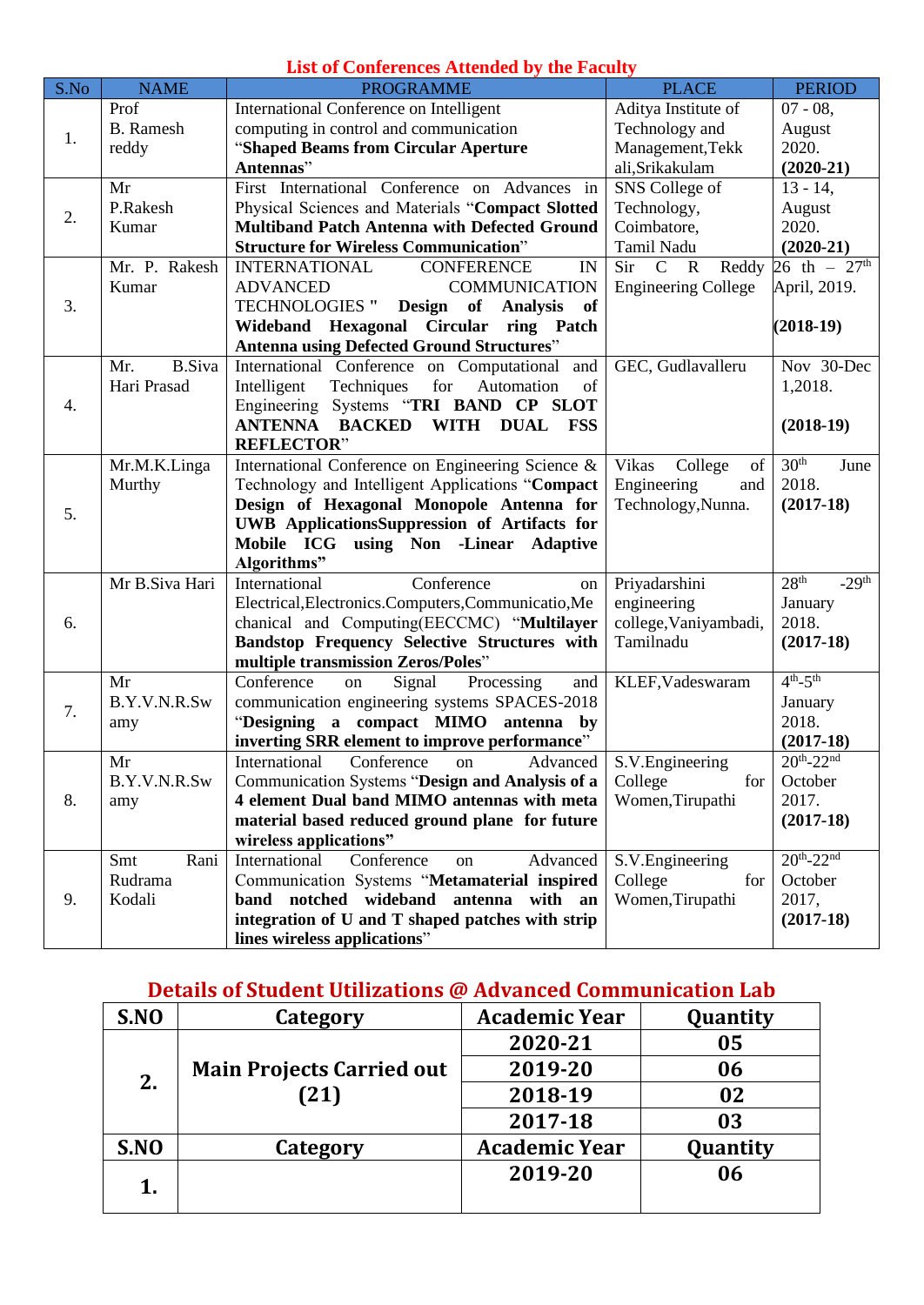#### **List of Conferences Attended by the Faculty**

| S.No | <b>NAME</b>          | <b>PROGRAMME</b>                                               | <b>PLACE</b>                  | <b>PERIOD</b>               |
|------|----------------------|----------------------------------------------------------------|-------------------------------|-----------------------------|
|      | Prof                 | International Conference on Intelligent                        | Aditya Institute of           | $07 - 08$ ,                 |
|      | <b>B.</b> Ramesh     | computing in control and communication                         | Technology and                | August                      |
| 1.   | reddy                | "Shaped Beams from Circular Aperture                           | Management, Tekk              | 2020.                       |
|      |                      | Antennas"                                                      | ali, Srikakulam               | $(2020-21)$                 |
|      | Mr                   | First International Conference on Advances in                  | SNS College of                | $13 - 14$ ,                 |
| 2.   | P.Rakesh             | Physical Sciences and Materials "Compact Slotted               | Technology,                   | August                      |
|      | Kumar                | <b>Multiband Patch Antenna with Defected Ground</b>            | Coimbatore,                   | 2020.                       |
|      |                      | <b>Structure for Wireless Communication"</b>                   | Tamil Nadu                    | $(2020-21)$                 |
|      | Mr. P. Rakesh        | <b>CONFERENCE</b><br>IN<br><b>INTERNATIONAL</b>                | Sir C<br>$\mathbf R$<br>Reddy | 26 th – $27^{\text{th}}$    |
|      | Kumar                | <b>ADVANCED</b><br><b>COMMUNICATION</b>                        | <b>Engineering College</b>    | April, 2019.                |
| 3.   |                      | <b>TECHNOLOGIES "</b><br>Design of Analysis<br>- of            |                               |                             |
|      |                      | <b>Circular</b><br>Wideband Hexagonal<br>ring Patch            |                               | $(2018-19)$                 |
|      |                      | <b>Antenna using Defected Ground Structures"</b>               |                               |                             |
|      | <b>B.Siva</b><br>Mr. | International Conference on Computational<br>and               | GEC, Gudlavalleru             | Nov 30-Dec                  |
|      | Hari Prasad          | Intelligent<br>Techniques<br>for<br>Automation<br>of           |                               | 1,2018.                     |
| 4.   |                      | Engineering Systems "TRI BAND CP SLOT                          |                               |                             |
|      |                      | <b>ANTENNA BACKED</b><br>WITH<br><b>DUAL</b><br>$\mathbf{FSS}$ |                               | $(2018-19)$                 |
|      |                      | <b>REFLECTOR"</b>                                              |                               |                             |
|      | Mr.M.K.Linga         | International Conference on Engineering Science &              | Vikas<br>College<br>of        | 30 <sup>th</sup><br>June    |
|      | Murthy               | Technology and Intelligent Applications "Compact               | Engineering<br>and            | 2018.                       |
| 5.   |                      | Design of Hexagonal Monopole Antenna for                       | Technology, Nunna.            | $(2017-18)$                 |
|      |                      | <b>UWB</b> ApplicationsSuppression of Artifacts for            |                               |                             |
|      |                      | Mobile ICG using Non -Linear<br><b>Adaptive</b>                |                               |                             |
|      |                      | Algorithms"                                                    |                               |                             |
|      | Mr B.Siva Hari       | International<br>Conference<br>on                              | Priyadarshini                 | 28 <sup>th</sup><br>$-29th$ |
|      |                      | Electrical, Electronics. Computers, Communicatio, Me           | engineering                   | January                     |
| 6.   |                      | chanical and Computing(EECCMC) "Multilayer                     | college, Vaniyambadi,         | 2018.                       |
|      |                      | Bandstop Frequency Selective Structures with                   | Tamilnadu                     | $(2017-18)$                 |
|      |                      | multiple transmission Zeros/Poles"                             |                               |                             |
|      | Mr                   | Conference<br>Signal<br>Processing<br>on<br>and                | KLEF, Vadeswaram              | $4th - 5th$                 |
| 7.   | B.Y.V.N.R.Sw         | communication engineering systems SPACES-2018                  |                               | January                     |
|      | amy                  | "Designing a compact MIMO antenna by                           |                               | 2018.                       |
|      |                      | inverting SRR element to improve performance"                  |                               | $(2017-18)$                 |
|      | Mr                   | International<br>Conference<br>Advanced<br>on                  | S.V. Engineering              | $20^{th}$ -22 <sup>nd</sup> |
|      | B.Y.V.N.R.Sw         | Communication Systems "Design and Analysis of a                | College<br>for                | October                     |
| 8.   | amy                  | 4 element Dual band MIMO antennas with meta                    | Women, Tirupathi              | 2017.                       |
|      |                      | material based reduced ground plane for future                 |                               | $(2017-18)$                 |
|      |                      | wireless applications"                                         |                               |                             |
|      | Smt<br>Rani          | International<br>Conference<br>Advanced<br>on                  | S.V. Engineering              | $20^{th}$ -22 <sup>nd</sup> |
|      | Rudrama              | Communication Systems "Metamaterial inspired                   | College<br>for                | October                     |
| 9.   | Kodali               | band notched wideband antenna with an                          | Women, Tirupathi              | 2017,                       |
|      |                      | integration of U and T shaped patches with strip               |                               | $(2017-18)$                 |
|      |                      | lines wireless applications"                                   |                               |                             |

**Details of Student Utilizations @ Advanced Communication Lab**

| S.NO | Category                                 | <b>Academic Year</b> | Quantity |
|------|------------------------------------------|----------------------|----------|
| 2.   | <b>Main Projects Carried out</b><br>(21) | 2020-21              | 05       |
|      |                                          | 2019-20              | 06       |
|      |                                          | 2018-19              | 02       |
|      |                                          | 2017-18              | 03       |
| S.NO | Category                                 | <b>Academic Year</b> | Quantity |
| 1.   |                                          | 2019-20              | 06       |
|      |                                          |                      |          |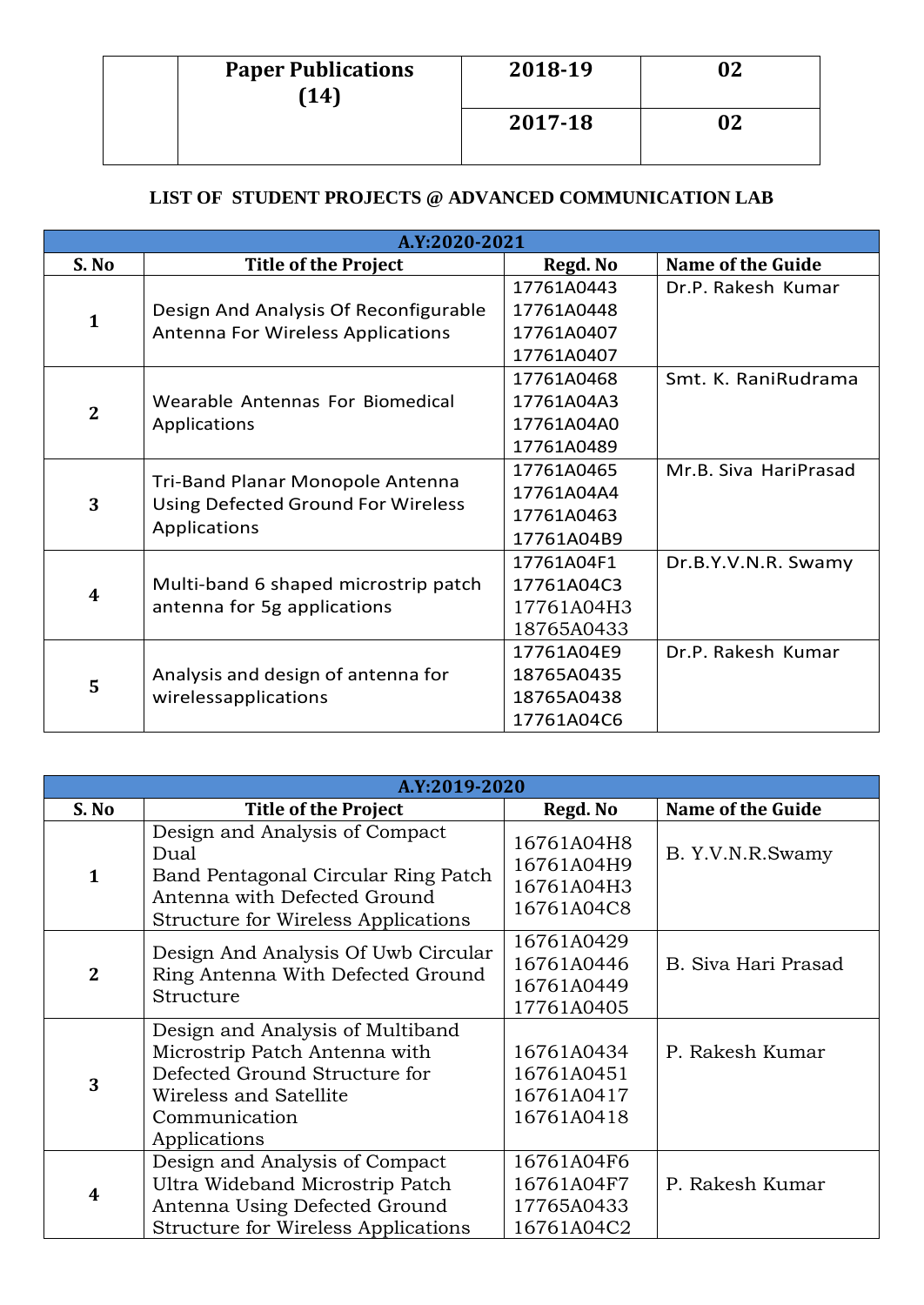| <b>Paper Publications</b><br>(14) | 2018-19 | 02 |
|-----------------------------------|---------|----|
|                                   | 2017-18 |    |

#### **LIST OF STUDENT PROJECTS @ ADVANCED COMMUNICATION LAB**

| A.Y:2020-2021  |                                                                                        |            |                          |  |
|----------------|----------------------------------------------------------------------------------------|------------|--------------------------|--|
| S. No          | <b>Title of the Project</b>                                                            | Regd. No   | <b>Name of the Guide</b> |  |
|                |                                                                                        | 17761A0443 | Dr.P. Rakesh Kumar       |  |
| $\mathbf{1}$   | Design And Analysis Of Reconfigurable                                                  | 17761A0448 |                          |  |
|                | <b>Antenna For Wireless Applications</b>                                               | 17761A0407 |                          |  |
|                |                                                                                        | 17761A0407 |                          |  |
|                |                                                                                        | 17761A0468 | Smt. K. RaniRudrama      |  |
| $\overline{2}$ | Wearable Antennas For Biomedical                                                       | 17761A04A3 |                          |  |
|                | Applications                                                                           | 17761A04A0 |                          |  |
|                |                                                                                        | 17761A0489 |                          |  |
|                | Tri-Band Planar Monopole Antenna<br>Using Defected Ground For Wireless<br>Applications | 17761A0465 | Mr.B. Siva HariPrasad    |  |
| 3              |                                                                                        | 17761A04A4 |                          |  |
|                |                                                                                        | 17761A0463 |                          |  |
|                |                                                                                        | 17761A04B9 |                          |  |
|                |                                                                                        | 17761A04F1 | Dr.B.Y.V.N.R. Swamy      |  |
| 4              | Multi-band 6 shaped microstrip patch                                                   | 17761A04C3 |                          |  |
|                | antenna for 5g applications                                                            | 17761A04H3 |                          |  |
|                |                                                                                        | 18765A0433 |                          |  |
| 5              |                                                                                        | 17761A04E9 | Dr.P. Rakesh Kumar       |  |
|                | Analysis and design of antenna for                                                     | 18765A0435 |                          |  |
|                | wirelessapplications                                                                   | 18765A0438 |                          |  |
|                |                                                                                        | 17761A04C6 |                          |  |

| A.Y:2019-2020    |                                                                                                                                                               |                                                      |                     |  |
|------------------|---------------------------------------------------------------------------------------------------------------------------------------------------------------|------------------------------------------------------|---------------------|--|
| S. No            | <b>Title of the Project</b>                                                                                                                                   | Regd. No                                             | Name of the Guide   |  |
| 1                | Design and Analysis of Compact<br>Dual<br>Band Pentagonal Circular Ring Patch<br>Antenna with Defected Ground<br>Structure for Wireless Applications          | 16761A04H8<br>16761A04H9<br>16761A04H3<br>16761A04C8 | B. Y.V.N.R.Swamy    |  |
| $\mathbf{2}$     | Design And Analysis Of Uwb Circular<br>Ring Antenna With Defected Ground<br>Structure                                                                         | 16761A0429<br>16761A0446<br>16761A0449<br>17761A0405 | B. Siva Hari Prasad |  |
| 3                | Design and Analysis of Multiband<br>Microstrip Patch Antenna with<br>Defected Ground Structure for<br>Wireless and Satellite<br>Communication<br>Applications | 16761A0434<br>16761A0451<br>16761A0417<br>16761A0418 | P. Rakesh Kumar     |  |
| $\boldsymbol{4}$ | Design and Analysis of Compact<br>Ultra Wideband Microstrip Patch<br>Antenna Using Defected Ground<br><b>Structure for Wireless Applications</b>              | 16761A04F6<br>16761A04F7<br>17765A0433<br>16761A04C2 | P. Rakesh Kumar     |  |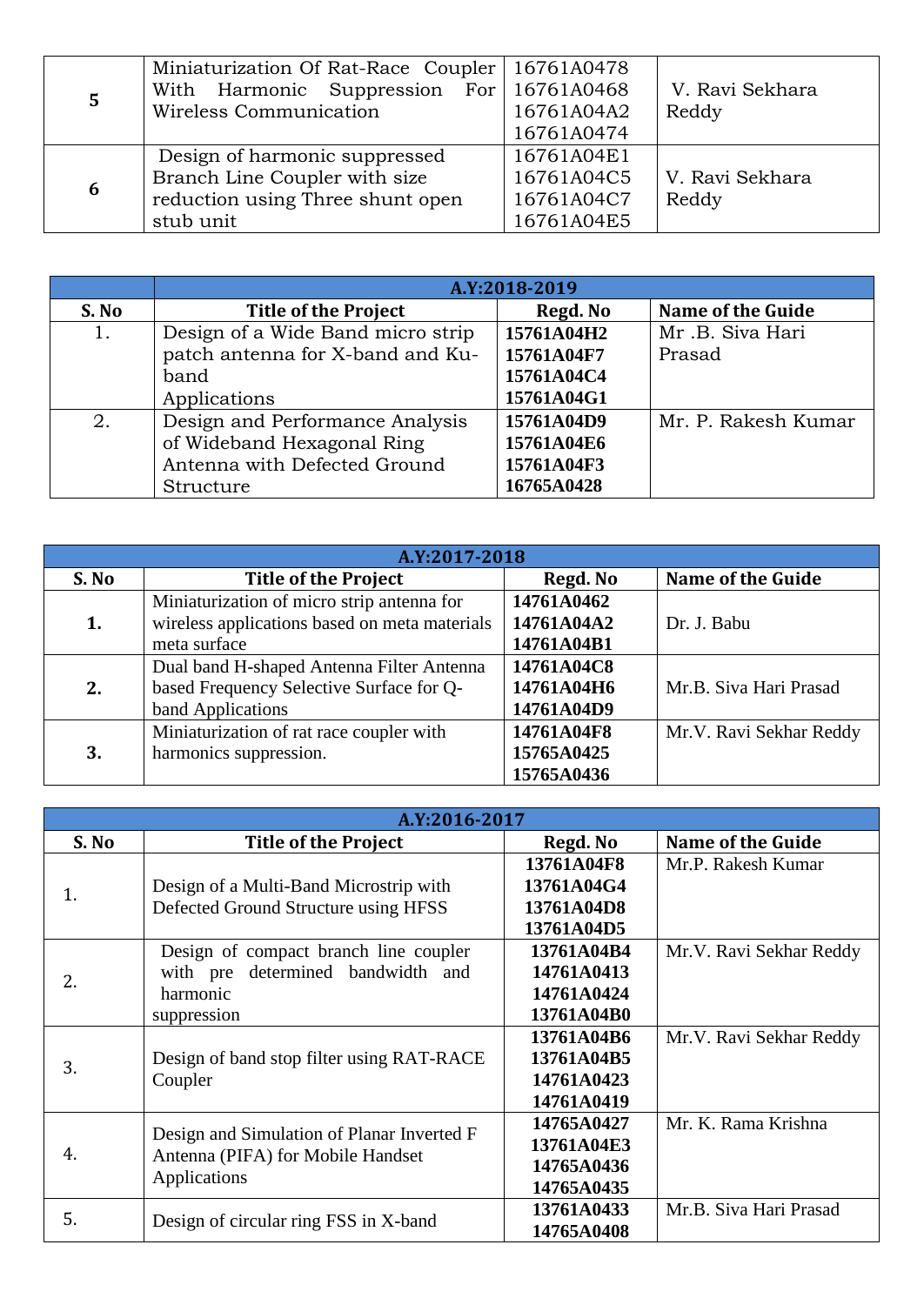|   | Miniaturization Of Rat-Race Coupler   16761A0478 |            |                 |
|---|--------------------------------------------------|------------|-----------------|
|   | With Harmonic Suppression For 16761A0468         |            | V. Ravi Sekhara |
| 5 | Wireless Communication                           | 16761A04A2 | Reddy           |
|   |                                                  | 16761A0474 |                 |
| 6 | Design of harmonic suppressed                    | 16761A04E1 |                 |
|   | Branch Line Coupler with size                    | 16761A04C5 | V. Ravi Sekhara |
|   | reduction using Three shunt open                 | 16761A04C7 | Reddy           |
|   | stub unit                                        | 16761A04E5 |                 |

|       | A.Y:2018-2019                     |            |                     |
|-------|-----------------------------------|------------|---------------------|
| S. No | <b>Title of the Project</b>       | Regd. No   | Name of the Guide   |
| 1.    | Design of a Wide Band micro strip | 15761A04H2 | Mr.B. Siva Hari     |
|       | patch antenna for X-band and Ku-  | 15761A04F7 | Prasad              |
|       | band                              | 15761A04C4 |                     |
|       | Applications                      | 15761A04G1 |                     |
| 2.    | Design and Performance Analysis   | 15761A04D9 | Mr. P. Rakesh Kumar |
|       | of Wideband Hexagonal Ring        | 15761A04E6 |                     |
|       | Antenna with Defected Ground      | 15761A04F3 |                     |
|       | Structure                         | 16765A0428 |                     |

| A.Y:2017-2018 |                                               |            |                          |
|---------------|-----------------------------------------------|------------|--------------------------|
| S. No         | <b>Title of the Project</b>                   | Regd. No   | <b>Name of the Guide</b> |
|               | Miniaturization of micro strip antenna for    | 14761A0462 |                          |
| 1.            | wireless applications based on meta materials | 14761A04A2 | Dr. J. Babu              |
|               | meta surface                                  | 14761A04B1 |                          |
|               | Dual band H-shaped Antenna Filter Antenna     | 14761A04C8 |                          |
| 2.            | based Frequency Selective Surface for Q-      | 14761A04H6 | Mr.B. Siva Hari Prasad   |
|               | band Applications                             | 14761A04D9 |                          |
|               | Miniaturization of rat race coupler with      | 14761A04F8 | Mr.V. Ravi Sekhar Reddy  |
| 3.            | harmonics suppression.                        | 15765A0425 |                          |
|               |                                               | 15765A0436 |                          |

| A.Y:2016-2017 |                                                   |            |                         |
|---------------|---------------------------------------------------|------------|-------------------------|
| S. No         | <b>Title of the Project</b>                       | Regd. No   | Name of the Guide       |
|               |                                                   | 13761A04F8 | Mr.P. Rakesh Kumar      |
| 1.            | Design of a Multi-Band Microstrip with            | 13761A04G4 |                         |
|               | Defected Ground Structure using HFSS              | 13761A04D8 |                         |
|               |                                                   | 13761A04D5 |                         |
|               | Design of compact branch line coupler             | 13761A04B4 | Mr.V. Ravi Sekhar Reddy |
| 2.            | with pre determined bandwidth and                 | 14761A0413 |                         |
|               | harmonic                                          | 14761A0424 |                         |
|               | suppression                                       | 13761A04B0 |                         |
|               |                                                   | 13761A04B6 | Mr.V. Ravi Sekhar Reddy |
| 3.            | Design of band stop filter using RAT-RACE         | 13761A04B5 |                         |
|               | Coupler                                           | 14761A0423 |                         |
|               |                                                   | 14761A0419 |                         |
| 4.            | Design and Simulation of Planar Inverted F        | 14765A0427 | Mr. K. Rama Krishna     |
|               | Antenna (PIFA) for Mobile Handset<br>Applications | 13761A04E3 |                         |
|               |                                                   | 14765A0436 |                         |
|               |                                                   | 14765A0435 |                         |
| 5.            |                                                   | 13761A0433 | Mr.B. Siva Hari Prasad  |
|               | Design of circular ring FSS in X-band             | 14765A0408 |                         |